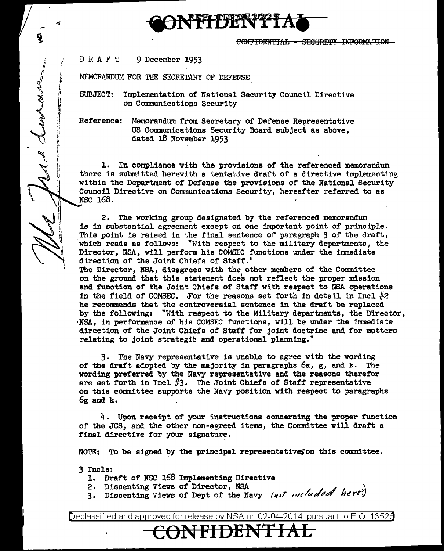CONFIDENTIAL = SECURITY INFORMATION

DRAFT 9 December 1953

.....

 $\mathbf{z}$  ,

*<sup>t</sup>*I. !." I ·r

**AM** r I!

> *M*   $\ddot{\Omega}$ jl

~ I'

MEMORANDUM FOR THE SECRETARY OF DEFENSE

SUBJECT: Implementation of National Security Council Directive on Communications Security

Reference: Memorandum from Secretary of Defense Representative US Communications Security Board subject as above, dated 18 November 1953

1. In compliance with the provisions of the referenced memorandum there is submitted herewith a tentative draft of a directive implementing within the Department of Defense the provisions of the National Security Council Directive on Communications Security, hereafter referred to as NSC 168.

2. The working group designated by the referenced memorandum is in substantial agreement except on one important point of principle. This point is raised in the final sentence of paragraph 3 of the draft, ·which reads as follows: "With respect to the military departments, the Director, NSA, will perform his COMSEC functions under the immediate direction of the Joint Chiefs of Staff."

The Director, NSA, disagrees with the other members of the Committee on the ground that this statement does not reflect the proper mission and function of the Joint Chiefs of Staff with respect to NSA operations in the field of COMSEC. .For the reasons set forth in detail in Incl  $#2$ he recommends that the controversial sentence in the draft be replaced by the following: "With respect to the Military departments, the D1rector, ·NSA, in performance of his COMSEC functions, will be under the immediate direction of the Joint Chiefs of Staff for joint doctrine and for matters relating to joint strategic and operational planning."

3. The Navy representative is unable to agree with the wording of the draft adopted by the majority in paragraphs  $6a$ , g, and k. The wording preferred by the Navy representative and the reasons therefor are set forth in Incl  $#3$ . The Joint Chiefs of Staff representative on this committee supports the Navy position with respect to paragraphs 6g and k.

4. Upon receipt of your instructions concerning the proper function of the JCS, and the other non-agreed items, the Committee will draft a final directive for your signature.

NOTE: To be signed by the principal representatives on this committee.

3 Incle:

- 1. Draft of NSC 168 Implementing Directive<br>2. Dissenting Views of Director, NSA
	- 2. Dissenting Views of Director, NSA  $(1, 1, 1, 2)$
	- 3. Dissenting Views of Dept of the Navy (not oucluded here)

Declassified and approved for release by NSA on 02-04-2014 pursuantto E.O. 1352a

**ONFIDENT**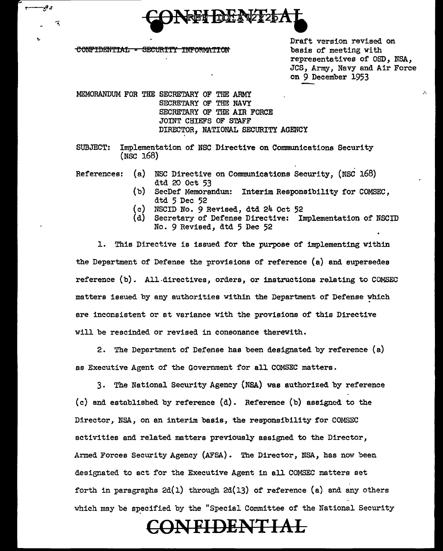

CONFIDENTIAL - SECURITY INFORMATION

و ۾-

٦,

Draft version revised on basis of meeting with representatives of OSD, NSA, JCS, Army, Navy and Air Force on 9 December 1953

MBMORANDUM FOR THE SECRETARY OF THE ARMY SECRETARY OF THE NAVY SECRETARY OF THE AIR FORCE JOINT CHIEFS OF STAFF DIRECTOR, NATIONAL SECURITY AGENCY

SUBJECT: Implementation of NSC Directive on Communications Security (NSC 168)

- References: (a) NSC Directive on Communications Security, (NSC 168) dtd 20 Oct 53
	- (b) SecDef Memorandum: Interim Responsibility for COMSEC, dtd 5 Dec 52
	- (c) NSCID No. 9 Revised, dtd 24 Oct 52
	- Secretary of Defense Directive: Implementation of NSCID No. 9 Revised, dtd 5 Dec 52

1. This Directive is issued for the purpose of implementing within the Department of Defense the provisions of reference (a) and supersedes reference  $(b)$ . All-directives, orders, or instructions relating to COMSEC matters issued by any authorities within the Department of Defense which are inconsistent or at variance with the provisions of this Directive will be rescinded or revised in consonance therewith.

2. The Department of Defense has been designated by reference (a) as Executive Agent of the Government for all COMSEC matters.

3. The National Security Agency (NSA) was authorized by reference (c) and established by reference (d). Reference (b) assigned to the Director, NSA, on an interim basis, the responsibility for COMSEC activities and related matters previously assigned to the Director, Armed Forces Security Agency (AFSA). The Director, NSA, has now been designated to act for the Executive Agent in all COMSEC matters set forth in paragraphs  $2d(1)$  through  $2d(13)$  of reference (a) and any others which may be specified by the "Special Committee of the National Security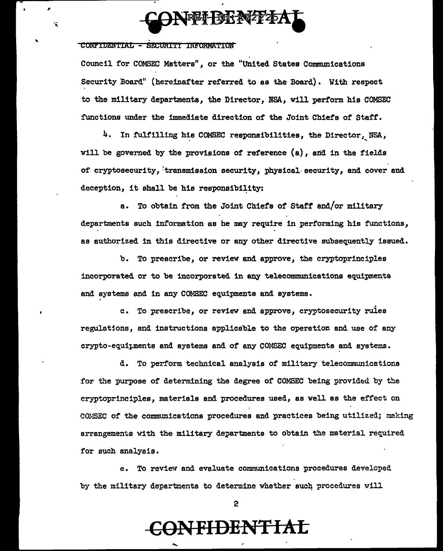

#### . COltl"IDZN'rIAL - SFIJIJRI'fi INB'ORMA'fiOM

'

7

Council for COMSEC Metters", or the "United States Communications Security Board" (hereinafter referred to as the Board). With respect to the military departments, the Director, NSA, will perform his COMSEC functions under the immediate direction of the Joint Chiefs of Staff.

4. In fulfilling his COMSEC responsibilities, the Director, NSA, will be governed by the provisions of reference (a), and in the fields of cryptosecurity, transmission security, physical security, and cover and deception, it shall be his responsibility:

a. To obtain from the Joint Chiefs of Staff and/or military departments such information as he may require in performing his functions, as authorized in this directive or any other directive subsequently issued.

b. To prescribe, or review and approve, the cryptoprinciples incorporated or to be incorporated in any telecommunications equipments and systems and in any COMSEC equipments and systems.

c. To prescribe, or review and approve, cryptosecurity rules regulations, and instructions applicable to the operation and use of any crypto-equipments and systems and of any COMSEC equipments and systems.

d. To perform technical analysis of military telecommunications for the purpose of determining the degree of COMSEC being provided by the cryptoprinciples, materials and procedures used, as well as the effect on COMSEC of the communications procedures and practices being utilized; making arrangements with the military departments to obtain the material required for such analysis.

e. To reviev and evaluate communications procedures developed by the military departments to determine whether such procedures will

2

### CON **FI DENT I AL**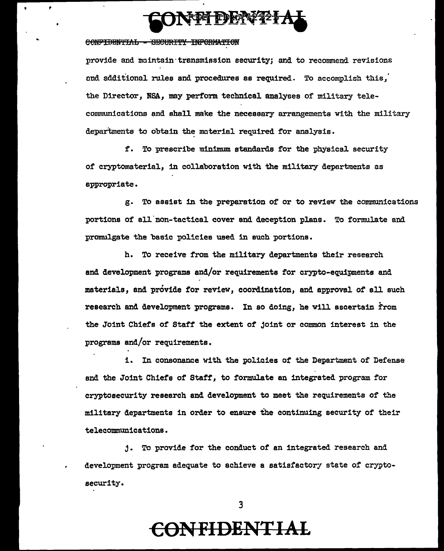

#### CONFIDENTIAL - GECURITY INFORMATION

provide and maintain transmission security; and to recommend revisions and additional rules and procedures as required. To accomplish this. the Director, NSA, may perform technical analyses of military telecommunications and shall make the necessary arrangements with the military departments to obtain the material required for analysis.

f. To prescribe minimum standards for the physical security of cryptomaterial, in collaboration with the military departments as appropriate.

g. To assist in the preparation of or to review the communications portions of all non-tactical cover and deception plans. To formulate and promulgate the basic policies used in such portions.

h. To receive from the military departments their research and development programs and/or requirements for crypto-equipments and materials, and provide for review, coordination, and approval of all such research and development programs. In so doing, he will ascertain from the Joint Chiefs of Staff the extent of joint or common interest in the programs and/or requirements.

i. In consonance with the policies of the Department of Defense and the Joint Chiefs of Staff, to formulate an integrated program for cryptosecurity research and development to meet the requirements of the military departments in order to ensure the continuing security of their telecommunications.

j. To provide for the conduct of an integrated research and development program adequate to achieve a satisfactory state of cryptosecurity.

 $\overline{3}$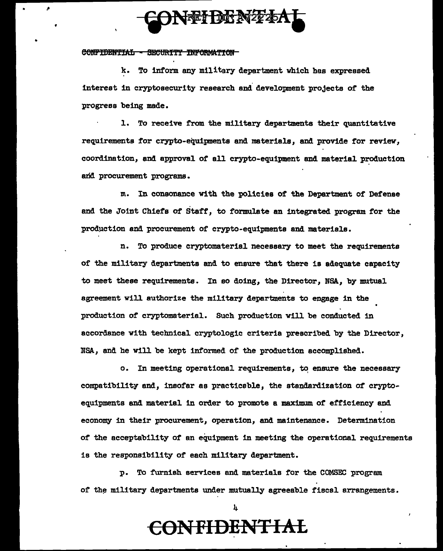# NTHERY

#### CONFIDENTIAL - SECURITY INFORMATION

.•

•

k. To inform any military department which has expressed interest in cryptosecurity research and development projects of the progress being made.

1. To receive from the military departments their quantitative requirements for crypto-equipments and materials, and provide for review, coordination, and approval of all crypto-equipment and material production arid procurement programs.

m. In consonance with the policies of the Department of Defense and the Joint Chiefs of Staff, to formulate an integrated program for the production and procurement of crypto-equipments and materials.

n. To produce cryptomaterial necessary to meet the requirements of the military departments and to ensure that there is adequate capacity to meet these requirements. In so doing, the Director, NSA, by mutual agreement will authorize the military departments to engage in the production of' cryptomaterial. Such production will be conducted in accordance with technical cryptologic criteria prescribed by the Director, NSA, and he will be kept informed of the production accomplished.

o. In meeting operational requirements, to ensure the necessary compatibility and, insofar es practicable, the standardization of cryptoequipments and material in order to promote a maximum of' efficiency and economy in their procurement, operation, and maintenance. Determination of the acceptability of' an equipment in meeting the operational requirements is the responsibility of each military department.

p. To furnish services and materials for the COMSEC program of the military departments under mutually agreeable fiscal arrangements.

4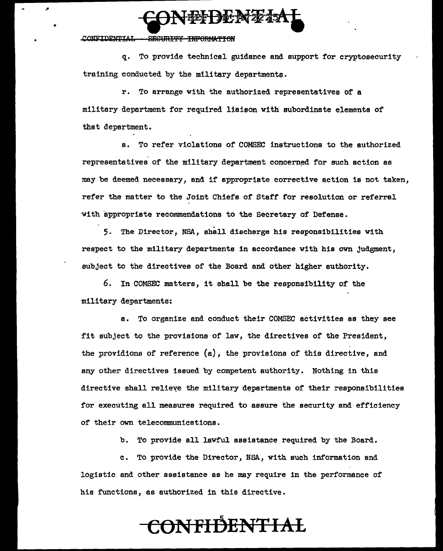

#### CONFIDENTIAL - SECURITY INFORMATION

q. To provide technical guidance and support for cryptosecurity training conducted by the military departments.

r. To arrange with the authorized representatives of a military department for required liaison with subordinate elements of that department.

s. To refer violations of COMSEC instructions to the authorized representatives of the military department concerned for such action as may be deemed necessary, and if appropriate corrective action is not taken, refer the matter to the Joint Chiefs of Staff for resolution or referral with appropriate recommendations to the Secretary of Defense.

5. The Director, NSA, shall discharge his responsibilities with respect to the military departments in accordance with his own judgment, subject to the directives of the Board and other higher authority.

6. In COMSEC matters, it shall be the responsibility of the military departments:

a. To organize and conduct their COMSEC activities as they see fit subject to the provisions of law, the directives of the President, the providions of reference (a), the provisions of this directive, and any other directives issued by competent authority. Nothing in this directive shall relieve the military departments of their responsibilities for executing all measures required to assure the security and efficiency of their own telecommunications.

b. To provide all lawful assistance required by the Board.

c. To provide the Director, NSA, with such information end logistic and other assistance as he may require in the performance of his functions, as authorized in this directive.

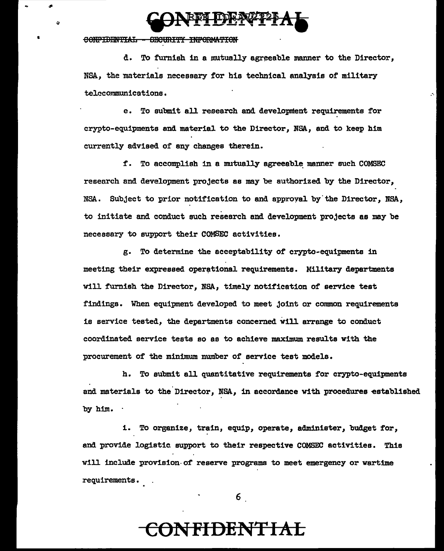

#### CONFIDENTIAL - GECURITY INFORMATION

d. To furnish in a mutually agreeable manner to the Director, NSA, the materials necessary for his technical analysis of military telecommunications. .•.

e. To submit all research and development requirements for crypto-equipments and material to the Director, NSA., and to keep him currently advised of any changes therein.

f. To accomplish in a mutually agreeable manner such COMSEC research and development projects as may be authorized by the Director, NSA. Subject to prior notification to and approval by the Director, NSA, to initiate and conduct such research and development projects as may be necessary to support their COMSEC activities.

g. To determine the acceptability of crypto-equipments in meeting their expressed operational requirements. Military departments will furnish the Director, NSA, timely notification of service test findings. When equipment developed to meet joint or common requirements is service tested, the departments concerned will arrange to conduct coordinated service tests so as to achieve maximum results with the procurement of the minimum number of service test models.

h. To submit all quantitative requirements for crypto-equipments and materials to the Director, NSA, in accordance with procedures established by him.

i. To organize, train, equip, operate, administer, budget for, and provide logistic support to their respective COMSEC activities. This will include provision.of reserve programs to meet emergency or wartime requirements.

6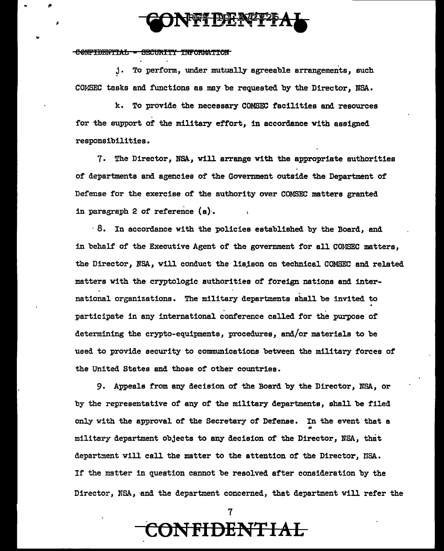# FFT DE NºT2

CONFIDENTIAL - SECURITY INFORMATION

,.

j. To perform, under mutually agreeable arrangements, such COMSEC tasks and. functions as may be requested by the Director, NSA.

k. To provide the necessary COMSEC facilities and resources for the support of the military effort, in accordance with assigned responsibilities.

7. The Director, NSA, will arrange with the appropriate authorities of departments and agencies of the Government outside the Department of Defense for the exercise of the authority over COMSEC matters granted in paragraph 2 of reference  $(a)$ .

 $\cdot$  8. In accordance with the policies established by the Board, and in behalf of the Executive Agent of the government for all COMSEC matters, the Director, NSA, will conduct the liaison on technical COMSEC and related matters with the cryptologic authorities of foreign nations and inter- . national organizations. The military departments shall be invited to national organizations. The military departments shall be invited to<br>participate in any international conference called for the purpose of determining the crypto-equipments, procedures, and/or materials to be used to provide security to communications between the military forces of the United States and those of other countries.

9. Appeals from any decision of the Board by the Director, NSA, or by the representative of any of the military departments, shall be filed only with the approval of the Secretary of Defense. In the event that a *0*  military department objects to any decision of the Director, NSA, that department will call the matter to the attention of the Director, NSA. If the mstter in question cannot be resolved after consideration by the Director, NSA, and the department concerned, that department will refer the

7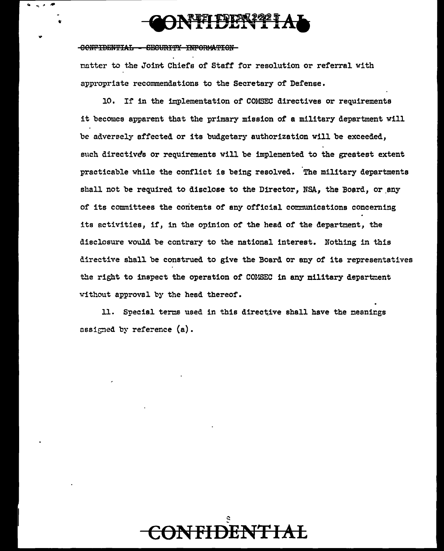# **FI DENIZI A**

#### CONFIDENTIAL - SECURITY INFORMATION

matter to the Joint Chiefs of Staff for resolution or referral with appropriate recommendations to the Secretary of Defense.

10. If in the implementation of COMSEC directives or requirements it becomes apparent that the primary mission of a military department will be adversely affected or its budgetary authorization will be exceeded, such directives or requirements will be implemented to the greatest extent practicable while the conflict is being resolved. The military departments shall not be required to disclose to the Director. NSA, the Board, or any of its committees the contents of any official communications concerning its activities, if, in the opinion of the head of the department, the disclosure would be contrary to the national interest. Nothing in this directive shall be construed to give the Board or any of its representatives the right to inspect the operation of CONSEC in any military department without approval by the head thereof.

11. Special terms used in this directive shall have the meanings assigned by reference  $(a)$ .

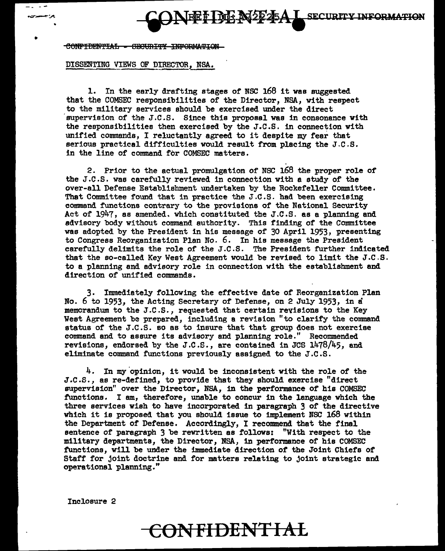**EFIDE N2225A** I SECURITY INFORMATION

CONFIDENTIAL - SECURITY INFORMATION

- .. --

•

#### DISSENTING VIEWS OF DIRECTOR. NSA.

1. In the early drafting stages of NSC 168 it was suggested that the COMSEC responsibilities of the Director, NSA, with respect to the military services should be exercised under the direct supervision of the J.C.S. Since this proposal was in consonance with the responsibilities then exercised by the J.C.S. in connection with unified commands, I reluctantly agreed to it despite my fear that serious practical difficulties would result from placing the J.C.S. in the line of commend for COMSEC matters.

2. Prior to the actual promulgation of NSC 168 the proper role of the J.c.s. was carefUlly reviewed in connection with a study of the over-ell Defense Establishment undertaken by the Rockefeller Committee. That Committee found that in practice the J.C.s. had been exercising command. functions contrary to the provisions of the National Security Act of 1947, as amended. which constituted the J.C.S. as a planning and advisory body without command authority. This finding of the Committee was adopted by the President in his message of 30 April 1953, presenting to Congress Reorganization Plan No. 6. In his message the President carefully delimits the role of the J.c.s. The President further indicated that the so-called Key West Agreement would be revised to limit the J.C.S. to a planning and advisory role in connection with the establishment and direction of unified commands.

3. Immediately following the effective date of Reorganization Plan No. 6 to 1953, the Acting Secretary of Defense, on 2 July 1953, in a memorandum to the J.C.S., requested that certain reyisions to the Key West Agreement be prepared, including a revision "to clarify the command status of the J.C.S. so as to insure that that group does not exercise command and to assure its advisory and planning role." Recommended revisions, endorsed by the J.C.S., are contained in JCS 1478/45, and eliminate command functions previously assigned to the J.c.s.

 $4.$  In my opinion, it would be inconsistent with the role of the J.c.s., as re-defined, to provide that they should exercise "direct supervision" over the Director, NSA, in the performance of hie COMSEC functions. I am, therefore, unable to concur in the language which the three services wish to have incorporated in paragraph 3 of the directive which it is proposed that you should issue to implement NSC 168 within the Department of Defense. Accordingly, I recommend that the final sentence of paragraph 3 be rewritten as follows: "With respect to the military departments, the Director, NSA, in performance of his COMSEC functions, will be under the immediate direction of the Joint Chiefs of Staff for joint doctrine and for matters relating to joint strategic and operational planning."

Inclosure 2